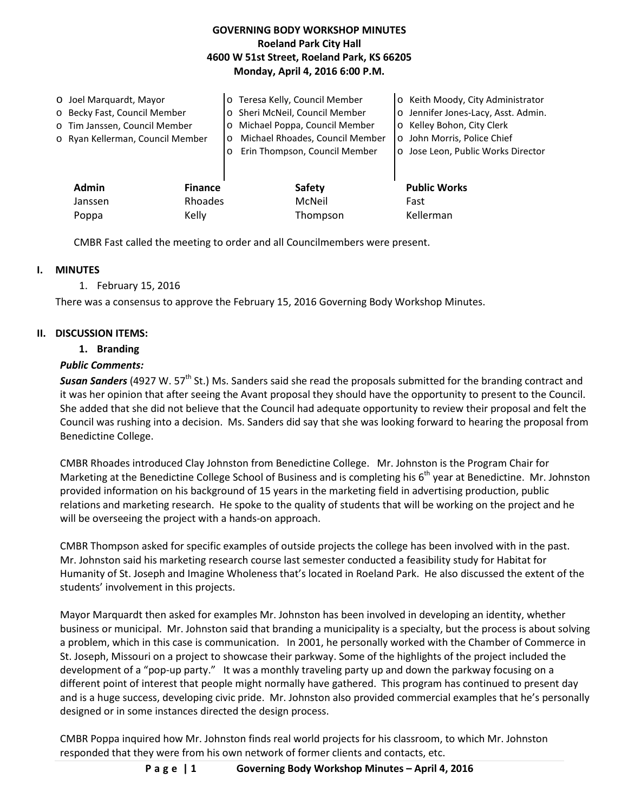### **GOVERNING BODY WORKSHOP MINUTES Roeland Park City Hall 4600 W 51st Street, Roeland Park, KS 66205 Monday, April 4, 2016 6:00 P.M.**

| O Joel Marquardt, Mayor<br>o Becky Fast, Council Member<br>o Tim Janssen, Council Member<br>o Ryan Kellerman, Council Member |                           | Teresa Kelly, Council Member<br>$\circ$<br>Sheri McNeil, Council Member<br>$\circ$<br>Michael Poppa, Council Member<br>$\circ$<br>Michael Rhoades, Council Member<br>$\circ$<br>Erin Thompson, Council Member<br>$\circ$ | o Keith Moody, City Administrator<br>o Jennifer Jones-Lacy, Asst. Admin.<br>o Kelley Bohon, City Clerk<br>o John Morris, Police Chief<br>o Jose Leon, Public Works Director |
|------------------------------------------------------------------------------------------------------------------------------|---------------------------|--------------------------------------------------------------------------------------------------------------------------------------------------------------------------------------------------------------------------|-----------------------------------------------------------------------------------------------------------------------------------------------------------------------------|
| <b>Admin</b><br>Janssen                                                                                                      | <b>Finance</b><br>Rhoades | Safety<br>McNeil                                                                                                                                                                                                         | <b>Public Works</b><br>Fast                                                                                                                                                 |
| Poppa                                                                                                                        | Kelly                     | Thompson                                                                                                                                                                                                                 | Kellerman                                                                                                                                                                   |

CMBR Fast called the meeting to order and all Councilmembers were present.

### **I. MINUTES**

1. February 15, 2016

There was a consensus to approve the February 15, 2016 Governing Body Workshop Minutes.

### **II. DISCUSSION ITEMS:**

### **1. Branding**

### *Public Comments:*

**Susan Sanders** (4927 W. 57<sup>th</sup> St.) Ms. Sanders said she read the proposals submitted for the branding contract and it was her opinion that after seeing the Avant proposal they should have the opportunity to present to the Council. She added that she did not believe that the Council had adequate opportunity to review their proposal and felt the Council was rushing into a decision. Ms. Sanders did say that she was looking forward to hearing the proposal from Benedictine College.

CMBR Rhoades introduced Clay Johnston from Benedictine College. Mr. Johnston is the Program Chair for Marketing at the Benedictine College School of Business and is completing his  $6<sup>th</sup>$  year at Benedictine. Mr. Johnston provided information on his background of 15 years in the marketing field in advertising production, public relations and marketing research. He spoke to the quality of students that will be working on the project and he will be overseeing the project with a hands-on approach.

CMBR Thompson asked for specific examples of outside projects the college has been involved with in the past. Mr. Johnston said his marketing research course last semester conducted a feasibility study for Habitat for Humanity of St. Joseph and Imagine Wholeness that's located in Roeland Park. He also discussed the extent of the students' involvement in this projects.

Mayor Marquardt then asked for examples Mr. Johnston has been involved in developing an identity, whether business or municipal. Mr. Johnston said that branding a municipality is a specialty, but the process is about solving a problem, which in this case is communication. In 2001, he personally worked with the Chamber of Commerce in St. Joseph, Missouri on a project to showcase their parkway. Some of the highlights of the project included the development of a "pop-up party." It was a monthly traveling party up and down the parkway focusing on a different point of interest that people might normally have gathered. This program has continued to present day and is a huge success, developing civic pride. Mr. Johnston also provided commercial examples that he's personally designed or in some instances directed the design process.

CMBR Poppa inquired how Mr. Johnston finds real world projects for his classroom, to which Mr. Johnston responded that they were from his own network of former clients and contacts, etc.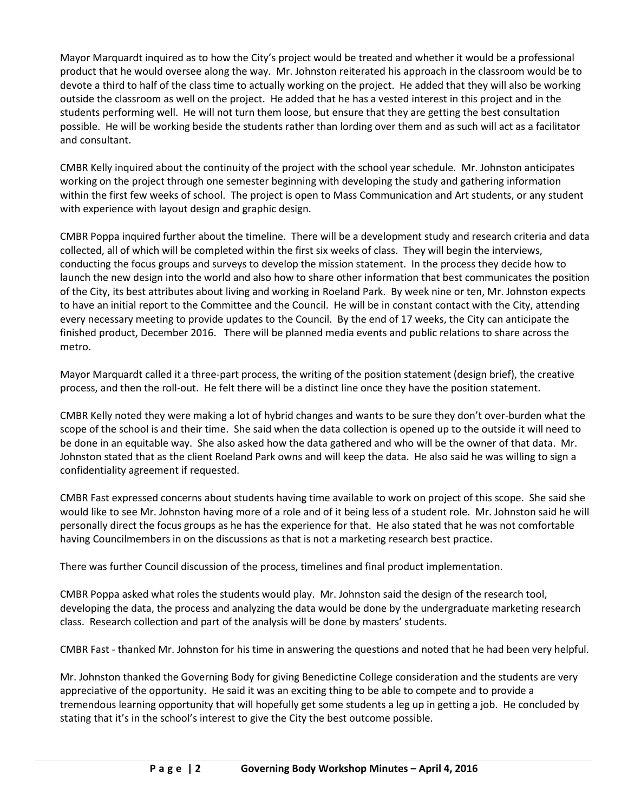Mayor Marquardt inquired as to how the City's project would be treated and whether it would be a professional product that he would oversee along the way. Mr. Johnston reiterated his approach in the classroom would be to devote a third to half of the class time to actually working on the project. He added that they will also be working outside the classroom as well on the project. He added that he has a vested interest in this project and in the students performing well. He will not turn them loose, but ensure that they are getting the best consultation possible. He will be working beside the students rather than lording over them and as such will act as a facilitator and consultant.

CMBR Kelly inquired about the continuity of the project with the school year schedule. Mr. Johnston anticipates working on the project through one semester beginning with developing the study and gathering information within the first few weeks of school. The project is open to Mass Communication and Art students, or any student with experience with layout design and graphic design.

CMBR Poppa inquired further about the timeline. There will be a development study and research criteria and data collected, all of which will be completed within the first six weeks of class. They will begin the interviews, conducting the focus groups and surveys to develop the mission statement. In the process they decide how to launch the new design into the world and also how to share other information that best communicates the position of the City, its best attributes about living and working in Roeland Park. By week nine or ten, Mr. Johnston expects to have an initial report to the Committee and the Council. He will be in constant contact with the City, attending every necessary meeting to provide updates to the Council. By the end of 17 weeks, the City can anticipate the finished product, December 2016. There will be planned media events and public relations to share across the metro.

Mayor Marquardt called it a three-part process, the writing of the position statement (design brief), the creative process, and then the roll-out. He felt there will be a distinct line once they have the position statement.

CMBR Kelly noted they were making a lot of hybrid changes and wants to be sure they don't over-burden what the scope of the school is and their time. She said when the data collection is opened up to the outside it will need to be done in an equitable way. She also asked how the data gathered and who will be the owner of that data. Mr. Johnston stated that as the client Roeland Park owns and will keep the data. He also said he was willing to sign a confidentiality agreement if requested.

CMBR Fast expressed concerns about students having time available to work on project of this scope. She said she would like to see Mr. Johnston having more of a role and of it being less of a student role. Mr. Johnston said he will personally direct the focus groups as he has the experience for that. He also stated that he was not comfortable having Councilmembers in on the discussions as that is not a marketing research best practice.

There was further Council discussion of the process, timelines and final product implementation.

CMBR Poppa asked what roles the students would play. Mr. Johnston said the design of the research tool, developing the data, the process and analyzing the data would be done by the undergraduate marketing research class. Research collection and part of the analysis will be done by masters' students.

CMBR Fast - thanked Mr. Johnston for his time in answering the questions and noted that he had been very helpful.

Mr. Johnston thanked the Governing Body for giving Benedictine College consideration and the students are very appreciative of the opportunity. He said it was an exciting thing to be able to compete and to provide a tremendous learning opportunity that will hopefully get some students a leg up in getting a job. He concluded by stating that it's in the school's interest to give the City the best outcome possible.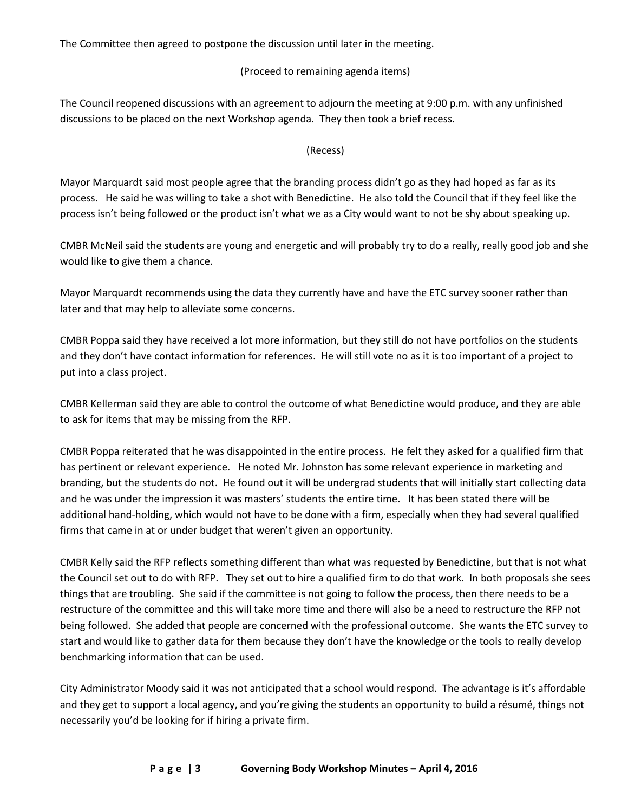The Committee then agreed to postpone the discussion until later in the meeting.

### (Proceed to remaining agenda items)

The Council reopened discussions with an agreement to adjourn the meeting at 9:00 p.m. with any unfinished discussions to be placed on the next Workshop agenda. They then took a brief recess.

# (Recess)

Mayor Marquardt said most people agree that the branding process didn't go as they had hoped as far as its process. He said he was willing to take a shot with Benedictine. He also told the Council that if they feel like the process isn't being followed or the product isn't what we as a City would want to not be shy about speaking up.

CMBR McNeil said the students are young and energetic and will probably try to do a really, really good job and she would like to give them a chance.

Mayor Marquardt recommends using the data they currently have and have the ETC survey sooner rather than later and that may help to alleviate some concerns.

CMBR Poppa said they have received a lot more information, but they still do not have portfolios on the students and they don't have contact information for references. He will still vote no as it is too important of a project to put into a class project.

CMBR Kellerman said they are able to control the outcome of what Benedictine would produce, and they are able to ask for items that may be missing from the RFP.

CMBR Poppa reiterated that he was disappointed in the entire process. He felt they asked for a qualified firm that has pertinent or relevant experience. He noted Mr. Johnston has some relevant experience in marketing and branding, but the students do not. He found out it will be undergrad students that will initially start collecting data and he was under the impression it was masters' students the entire time. It has been stated there will be additional hand-holding, which would not have to be done with a firm, especially when they had several qualified firms that came in at or under budget that weren't given an opportunity.

CMBR Kelly said the RFP reflects something different than what was requested by Benedictine, but that is not what the Council set out to do with RFP. They set out to hire a qualified firm to do that work. In both proposals she sees things that are troubling. She said if the committee is not going to follow the process, then there needs to be a restructure of the committee and this will take more time and there will also be a need to restructure the RFP not being followed. She added that people are concerned with the professional outcome. She wants the ETC survey to start and would like to gather data for them because they don't have the knowledge or the tools to really develop benchmarking information that can be used.

City Administrator Moody said it was not anticipated that a school would respond. The advantage is it's affordable and they get to support a local agency, and you're giving the students an opportunity to build a résumé, things not necessarily you'd be looking for if hiring a private firm.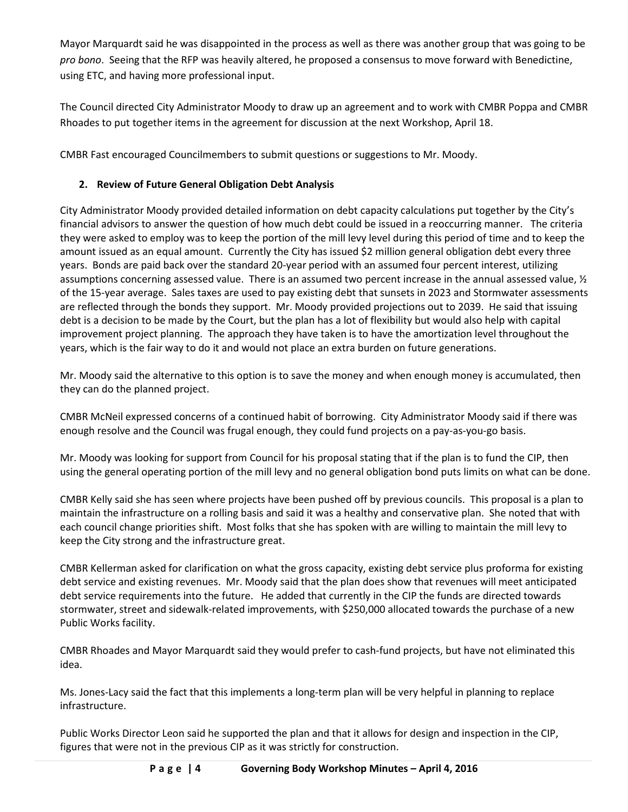Mayor Marquardt said he was disappointed in the process as well as there was another group that was going to be *pro bono*. Seeing that the RFP was heavily altered, he proposed a consensus to move forward with Benedictine, using ETC, and having more professional input.

The Council directed City Administrator Moody to draw up an agreement and to work with CMBR Poppa and CMBR Rhoades to put together items in the agreement for discussion at the next Workshop, April 18.

CMBR Fast encouraged Councilmembers to submit questions or suggestions to Mr. Moody.

# **2. Review of Future General Obligation Debt Analysis**

City Administrator Moody provided detailed information on debt capacity calculations put together by the City's financial advisors to answer the question of how much debt could be issued in a reoccurring manner. The criteria they were asked to employ was to keep the portion of the mill levy level during this period of time and to keep the amount issued as an equal amount. Currently the City has issued \$2 million general obligation debt every three years. Bonds are paid back over the standard 20-year period with an assumed four percent interest, utilizing assumptions concerning assessed value. There is an assumed two percent increase in the annual assessed value, ½ of the 15-year average. Sales taxes are used to pay existing debt that sunsets in 2023 and Stormwater assessments are reflected through the bonds they support. Mr. Moody provided projections out to 2039. He said that issuing debt is a decision to be made by the Court, but the plan has a lot of flexibility but would also help with capital improvement project planning. The approach they have taken is to have the amortization level throughout the years, which is the fair way to do it and would not place an extra burden on future generations.

Mr. Moody said the alternative to this option is to save the money and when enough money is accumulated, then they can do the planned project.

CMBR McNeil expressed concerns of a continued habit of borrowing. City Administrator Moody said if there was enough resolve and the Council was frugal enough, they could fund projects on a pay-as-you-go basis.

Mr. Moody was looking for support from Council for his proposal stating that if the plan is to fund the CIP, then using the general operating portion of the mill levy and no general obligation bond puts limits on what can be done.

CMBR Kelly said she has seen where projects have been pushed off by previous councils. This proposal is a plan to maintain the infrastructure on a rolling basis and said it was a healthy and conservative plan. She noted that with each council change priorities shift. Most folks that she has spoken with are willing to maintain the mill levy to keep the City strong and the infrastructure great.

CMBR Kellerman asked for clarification on what the gross capacity, existing debt service plus proforma for existing debt service and existing revenues. Mr. Moody said that the plan does show that revenues will meet anticipated debt service requirements into the future. He added that currently in the CIP the funds are directed towards stormwater, street and sidewalk-related improvements, with \$250,000 allocated towards the purchase of a new Public Works facility.

CMBR Rhoades and Mayor Marquardt said they would prefer to cash-fund projects, but have not eliminated this idea.

Ms. Jones-Lacy said the fact that this implements a long-term plan will be very helpful in planning to replace infrastructure.

Public Works Director Leon said he supported the plan and that it allows for design and inspection in the CIP, figures that were not in the previous CIP as it was strictly for construction.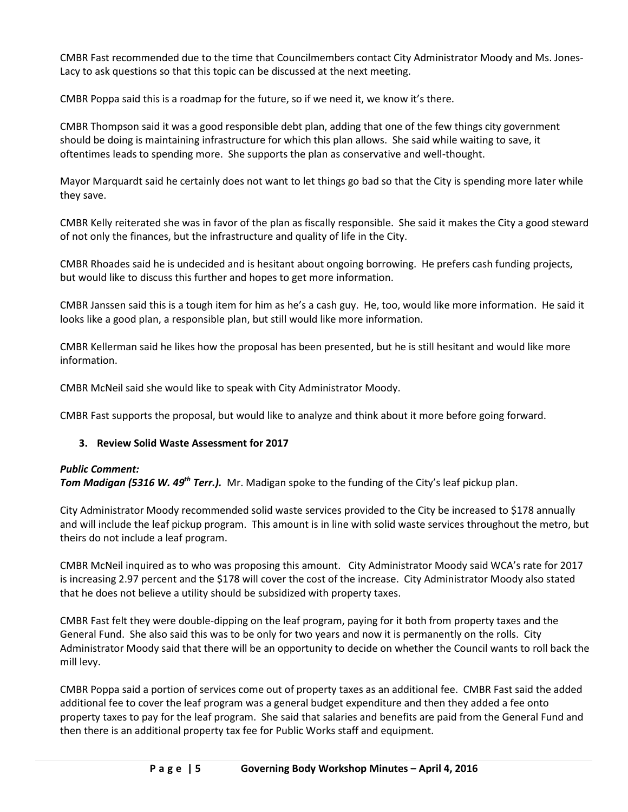CMBR Fast recommended due to the time that Councilmembers contact City Administrator Moody and Ms. Jones-Lacy to ask questions so that this topic can be discussed at the next meeting.

CMBR Poppa said this is a roadmap for the future, so if we need it, we know it's there.

CMBR Thompson said it was a good responsible debt plan, adding that one of the few things city government should be doing is maintaining infrastructure for which this plan allows. She said while waiting to save, it oftentimes leads to spending more. She supports the plan as conservative and well-thought.

Mayor Marquardt said he certainly does not want to let things go bad so that the City is spending more later while they save.

CMBR Kelly reiterated she was in favor of the plan as fiscally responsible. She said it makes the City a good steward of not only the finances, but the infrastructure and quality of life in the City.

CMBR Rhoades said he is undecided and is hesitant about ongoing borrowing. He prefers cash funding projects, but would like to discuss this further and hopes to get more information.

CMBR Janssen said this is a tough item for him as he's a cash guy. He, too, would like more information. He said it looks like a good plan, a responsible plan, but still would like more information.

CMBR Kellerman said he likes how the proposal has been presented, but he is still hesitant and would like more information.

CMBR McNeil said she would like to speak with City Administrator Moody.

CMBR Fast supports the proposal, but would like to analyze and think about it more before going forward.

### **3. Review Solid Waste Assessment for 2017**

#### *Public Comment:*

*Tom Madigan (5316 W. 49<sup>th</sup> Terr.).* Mr. Madigan spoke to the funding of the City's leaf pickup plan.

City Administrator Moody recommended solid waste services provided to the City be increased to \$178 annually and will include the leaf pickup program. This amount is in line with solid waste services throughout the metro, but theirs do not include a leaf program.

CMBR McNeil inquired as to who was proposing this amount. City Administrator Moody said WCA's rate for 2017 is increasing 2.97 percent and the \$178 will cover the cost of the increase. City Administrator Moody also stated that he does not believe a utility should be subsidized with property taxes.

CMBR Fast felt they were double-dipping on the leaf program, paying for it both from property taxes and the General Fund. She also said this was to be only for two years and now it is permanently on the rolls. City Administrator Moody said that there will be an opportunity to decide on whether the Council wants to roll back the mill levy.

CMBR Poppa said a portion of services come out of property taxes as an additional fee. CMBR Fast said the added additional fee to cover the leaf program was a general budget expenditure and then they added a fee onto property taxes to pay for the leaf program. She said that salaries and benefits are paid from the General Fund and then there is an additional property tax fee for Public Works staff and equipment.